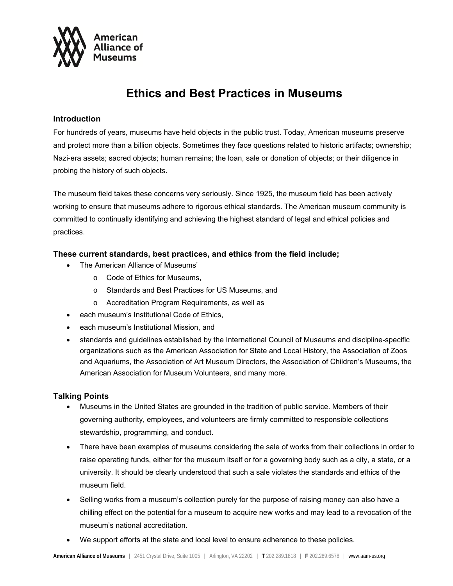

# **Ethics and Best Practices in Museums**

#### **Introduction**

For hundreds of years, museums have held objects in the public trust. Today, American museums preserve and protect more than a billion objects. Sometimes they face questions related to historic artifacts; ownership; Nazi-era assets; sacred objects; human remains; the loan, sale or donation of objects; or their diligence in probing the history of such objects.

The museum field takes these concerns very seriously. Since 1925, the museum field has been actively working to ensure that museums adhere to rigorous ethical standards. The American museum community is committed to continually identifying and achieving the highest standard of legal and ethical policies and practices.

### **These current standards, best practices, and ethics from the field include;**

- The American Alliance of Museums'
	- o Code of Ethics for Museums,
	- o Standards and Best Practices for US Museums, and
	- o Accreditation Program Requirements, as well as
- each museum's Institutional Code of Ethics.
- each museum's Institutional Mission, and
- standards and guidelines established by the International Council of Museums and discipline-specific organizations such as the American Association for State and Local History, the Association of Zoos and Aquariums, the Association of Art Museum Directors, the Association of Children's Museums, the American Association for Museum Volunteers, and many more.

## **Talking Points**

- Museums in the United States are grounded in the tradition of public service. Members of their governing authority, employees, and volunteers are firmly committed to responsible collections stewardship, programming, and conduct.
- There have been examples of museums considering the sale of works from their collections in order to raise operating funds, either for the museum itself or for a governing body such as a city, a state, or a university. It should be clearly understood that such a sale violates the standards and ethics of the museum field.
- Selling works from a museum's collection purely for the purpose of raising money can also have a chilling effect on the potential for a museum to acquire new works and may lead to a revocation of the museum's national accreditation.
- We support efforts at the state and local level to ensure adherence to these policies.